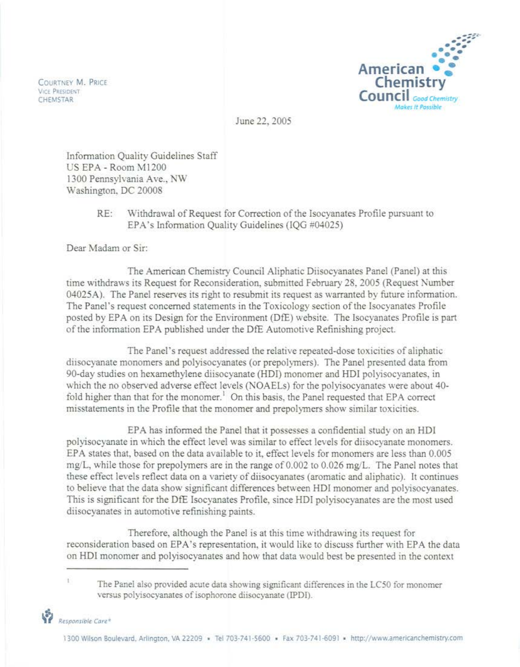COURTNEY M. PRICE **VICE PRESIDENT**<br>CHEMSTAR



June 22, 2005

Information Quality Guidelines Staff US EPA - Room MI200 1300 Pennsylvania Ave., NW Washington, DC 20008

## RE: Withdrawal of Request for Correction of the Isocyanates Profile pursuant to EPA's Information Quality Guidelines (IQG #04025)

Dear Madam or Sir:

The American Chemistry Council Aliphatic Diisocyanates Panel (Panel) at this time withdraws its Request for Reconsideration, submitted February 28, 2005 (Request Number 04025A). The Panel reserves its right to resubmit its request as warranted by future information. The Panel's request concerned statements in the Toxicology section of the Isocyanates Profile posted by EPA on its Design for the Environment (DfE) website. The Isocyanates Profile is part of the information EPA published under the DfE Automotive Refinishing project.

The Panel's request addressed the relative repeated-dose toxicities ofaliphatic diisocyanate monomers and polyisocyanates (or prepolymers). The Panel presented data from 90-day studies on hexamethylene diisocyanate (HDl) monomer and HD! polyisocyanates, in which the no observed adverse effect levels (NOAELs) for the polyisocyanates were about 40 fold higher than that for the monomer.<sup>1</sup> On this basis, the Panel requested that EPA correct misstatements in the Profile that the monomer and prepolymers show similar toxicities.

EPA has informed the Panel that it possesses a confidential study on an HD! polyisocyanate in which the effect level was similar to effect levels for diisocyanate monomers. EPA states that, based on the data available to it, effect levels for monomers are less than 0.005 mg/L, while those for prepolymers are in the range of  $0.002$  to  $0.026$  mg/L. The Panel notes that these effect levels reflect data on a variety of diisocyanates (aromatic and aliphatic). It continues to believe that the data show significant differences between HD! monomer and polyisocyanates. This is significant for the DfE Jsocyanates Profile, since HD! polyisocyanates are the most used diisocyanates in automotive refinishing paints.

Therefore, although the Panel is at this time withdrawing its request for reconsideration based on EPA's representation, it would like to discuss further with EPA the data on HD! monomer and polyisocyanates and how that data would best be presented in the context

The Panel also provided acute data showing significant differences in the LC50 for monomer versus polyisocyanates of isophorone diisocyanate (IPDI).